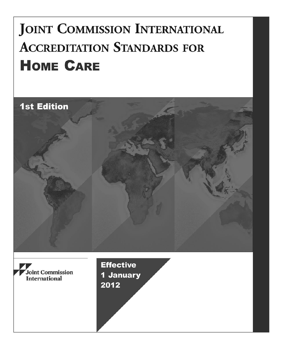# **JOINT COMMISSION INTERNATIONAL ACCREDITATION STANDARDS FOR HOME CARE**

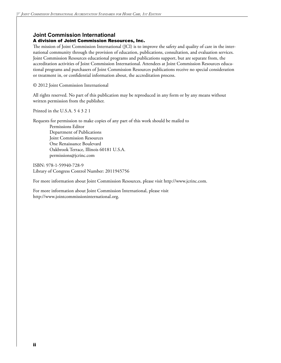#### **Joint Commission International**

#### A division of Joint Commission Resources, Inc.

The mission of Joint Commission International (JCI) is to improve the safety and quality of care in the international community through the provision of education, publications, consultation, and evaluation services. Joint Commission Resources educational programs and publications support, but are separate from, the accreditation activities of Joint Commission International. Attendees at Joint Commission Resources educational programs and purchasers of Joint Commission Resources publications receive no special consideration or treatment in, or confidential information about, the accreditation process.

© 2012 Joint Commission International

All rights reserved. No part of this publication may be reproduced in any form or by any means without written permission from the publisher.

Printed in the U.S.A. 5 4 3 2 1

Requests for permission to make copies of any part of this work should be mailed to Permissions Editor Department of Publications Joint Commission Resources One Renaissance Boulevard Oakbrook Terrace, Illinois 60181 U.S.A. permissions@jcrinc.com

ISBN: 978-1-59940-728-9 Library of Congress Control Number: 2011945756

For more information about Joint Commission Resources, please visit http://www.jcrinc.com.

For more information about Joint Commission International, please visit http://www.jointcommissioninternational.org.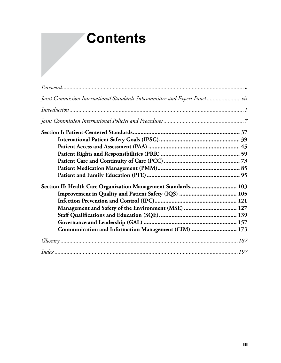# **Contents**

| Joint Commission International Standards Subcommittee and Expert Panel vii |  |
|----------------------------------------------------------------------------|--|
|                                                                            |  |
|                                                                            |  |
|                                                                            |  |
|                                                                            |  |
|                                                                            |  |
|                                                                            |  |
|                                                                            |  |
|                                                                            |  |
|                                                                            |  |
| Section II: Health Care Organization Management Standards 103              |  |
|                                                                            |  |
|                                                                            |  |
| Management and Safety of the Environment (MSE)  127                        |  |
|                                                                            |  |
|                                                                            |  |
| Communication and Information Management (CIM)  173                        |  |
|                                                                            |  |
|                                                                            |  |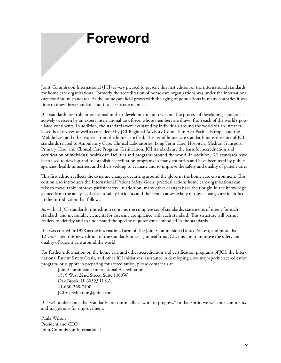# **Foreword**

Joint Commission International (JCI) is very pleased to present this first edition of the international standards for home care organizations. Formerly the accreditation of home care organizations was under the international care continuum standards. As the home care field grows with the aging of populations in many countries it was time to draw these standards out into a separate manual.

JCI standards are truly international in their development and revision. The process of developing standards is actively overseen by an expert international task force, whose members are drawn from each of the world's populated continents. In addition, the standards were evaluated by individuals around the world via an Internetbased field review, as well as considered by JCI Regional Advisory Councils in Asia Pacific, Europe, and the Middle East and other experts from the home care field. This set of home care standards joins the suite of JCI standards related to Ambulatory Care, Clinical Laboratories, Long Term Care, Hospitals, Medical Transport, Primary Care, and Clinical Care Program Certification. JCI standards are the basis for accreditation and certification of individual health care facilities and programs around the world. In addition, JCI standards have been used to develop and to establish accreditation programs in many countries and have been used by public agencies, health ministries, and others seeking to evaluate and to improve the safety and quality of patient care.

This first edition reflects the dynamic changes occurring around the globe in the home care environment. This edition also introduces the International Patient Safety Goals, practical actions home care organizations can take to measurably improve patient safety. In addition, many other changes have their origin in the knowledge gained from the analysis of patient safety incidents and their root causes. Many of these changes are identified in the Introduction that follows.

As with all JCI standards, this edition contains the complete set of standards, statements of intent for each standard, and measurable elements for assessing compliance with each standard. This structure will permit readers to identify and to understand the specific requirements embodied in the standards.

JCI was created in 1998 as the international arm of The Joint Commission (United States), and more than 12 years later, this new edition of the standards once again reaffirms JCI's mission to improve the safety and quality of patient care around the world.

For further information on the home care and other accreditation and certification programs of JCI, the International Patient Safety Goals, and other JCI initiatives, assistance in developing a country-specific accreditation program, or support in preparing for accreditation, please contact us at

Joint Commission International Accreditation 1515 West 22nd Street, Suite 1300W Oak Brook, IL 60523 U.S.A. +1-630-268-7400 JCIAccreditation@jcrinc.com

JCI well understands that standards are continually a "work in progress." In that spirit, we welcome comments and suggestions for improvement.

Paula Wilson President and CEO Joint Commission International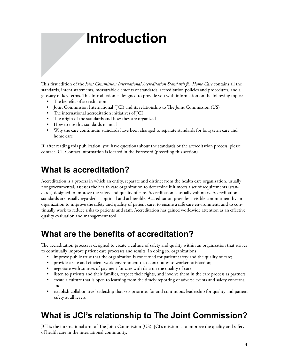# **Introduction**

This first edition of the *Joint Commission International Accreditation Standards for Home Care* contains all the standards, intent statements, measurable elements of standards, accreditation policies and procedures, and a glossary of key terms. This Introduction is designed to provide you with information on the following topics:

- The benefits of accreditation
- Joint Commission International (JCI) and its relationship to The Joint Commission (US)
- The international accreditation initiatives of JCI
- The origin of the standards and how they are organized
- How to use this standards manual
- Why the care continuum standards have been changed to separate standards for long term care and home care

If, after reading this publication, you have questions about the standards or the accreditation process, please contact JCI. Contact information is located in the Foreword (preceding this section).

#### **What is accreditation?**

Accreditation is a process in which an entity, separate and distinct from the health care organization, usually nongovernmental, assesses the health care organization to determine if it meets a set of requirements (standards) designed to improve the safety and quality of care. Accreditation is usually voluntary. Accreditation standards are usually regarded as optimal and achievable. Accreditation provides a visible commitment by an organization to improve the safety and quality of patient care, to ensure a safe care environment, and to continually work to reduce risks to patients and staff. Accreditation has gained worldwide attention as an effective quality evaluation and management tool.

#### **What are the benefits of accreditation?**

The accreditation process is designed to create a culture of safety and quality within an organization that strives to continually improve patient care processes and results. In doing so, organizations

- improve public trust that the organization is concerned for patient safety and the quality of care;
- provide a safe and efficient work environment that contributes to worker satisfaction;
- negotiate with sources of payment for care with data on the quality of care;
- listen to patients and their families, respect their rights, and involve them in the care process as partners;
- create a culture that is open to learning from the timely reporting of adverse events and safety concerns; and
- establish collaborative leadership that sets priorities for and continuous leadership for quality and patient safety at all levels.

## **What is JCI's relationship to The Joint Commission?**

JCI is the international arm of The Joint Commission (US); JCI's mission is to improve the quality and safety of health care in the international community.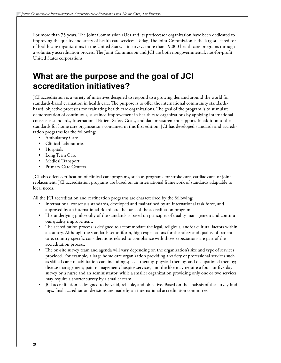For more than 75 years, The Joint Commission (US) and its predecessor organization have been dedicated to improving the quality and safety of health care services. Today, The Joint Commission is the largest accreditor of health care organizations in the United States—it surveys more than 19,000 health care programs through a voluntary accreditation process. The Joint Commission and JCI are both nongovernmental, not-for-profit United States corporations.

#### **What are the purpose and the goal of JCI accreditation initiatives?**

JCI accreditation is a variety of initiatives designed to respond to a growing demand around the world for standards-based evaluation in health care. The purpose is to offer the international community standardsbased, objective processes for evaluating health care organizations. The goal of the program is to stimulate demonstration of continuous, sustained improvement in health care organizations by applying international consensus standards, International Patient Safety Goals, and data measurement support. In addition to the standards for home care organizations contained in this first edition, JCI has developed standards and accreditation programs for the following:

- Ambulatory Care
- Clinical Laboratories
- **Hospitals**
- Long Term Care
- Medical Transport
- Primary Care Centers

JCI also offers certification of clinical care programs, such as programs for stroke care, cardiac care, or joint replacement. JCI accreditation programs are based on an international framework of standards adaptable to local needs.

All the JCI accreditation and certification programs are characterized by the following:

- International consensus standards, developed and maintained by an international task force, and approved by an international Board, are the basis of the accreditation program.
- The underlying philosophy of the standards is based on principles of quality management and continuous quality improvement.
- The accreditation process is designed to accommodate the legal, religious, and/or cultural factors within a country. Although the standards set uniform, high expectations for the safety and quality of patient care, country-specific considerations related to compliance with those expectations are part of the accreditation process.
- The on-site survey team and agenda will vary depending on the organization's size and type of services provided. For example, a large home care organization providing a variety of professional services such as skilled care; rehabilitation care including speech therapy, physical therapy, and occupational therapy; disease management; pain management; hospice services; and the like may require a four- or five-day survey by a nurse and an administrator, while a smaller organization providing only one or two services may require a shorter survey by a smaller team.
- JCI accreditation is designed to be valid, reliable, and objective. Based on the analysis of the survey findings, final accreditation decisions are made by an international accreditation committee.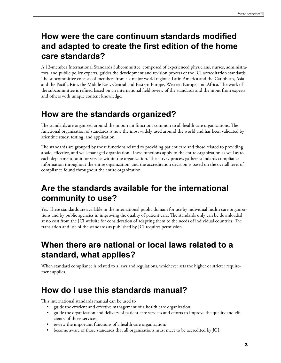## **How were the care continuum standards modified and adapted to create the first edition of the home care standards?**

A 12-member International Standards Subcommittee, composed of experienced physicians, nurses, administrators, and public policy experts, guides the development and revision process of the JCI accreditation standards. The subcommittee consists of members from six major world regions: Latin America and the Caribbean, Asia and the Pacific Rim, the Middle East, Central and Eastern Europe, Western Europe, and Africa. The work of the subcommittee is refined based on an international field review of the standards and the input from experts and others with unique content knowledge.

## **How are the standards organized?**

The standards are organized around the important functions common to all health care organizations. The functional organization of standards is now the most widely used around the world and has been validated by scientific study, testing, and application.

The standards are grouped by those functions related to providing patient care and those related to providing a safe, effective, and well-managed organization. These functions apply to the entire organization as well as to each department, unit, or service within the organization. The survey process gathers standards compliance information throughout the entire organization, and the accreditation decision is based on the overall level of compliance found throughout the entire organization.

## **Are the standards available for the international community to use?**

Yes. These standards are available in the international public domain for use by individual health care organizations and by public agencies in improving the quality of patient care. The standards only can be downloaded at no cost from the JCI website for consideration of adapting them to the needs of individual countries. The translation and use of the standards as published by JCI requires permission.

## **When there are national or local laws related to a standard, what applies?**

When standard compliance is related to a laws and regulations, whichever sets the higher or stricter requirement applies.

## **How do I use this standards manual?**

This international standards manual can be used to

- guide the efficient and effective management of a health care organization;
- guide the organization and delivery of patient care services and efforts to improve the quality and efficiency of those services;
- review the important functions of a health care organization;
- become aware of those standards that all organizations must meet to be accredited by JCI;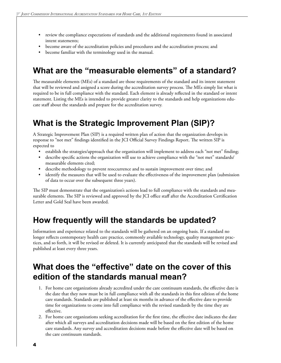- review the compliance expectations of standards and the additional requirements found in associated intent statements;
- become aware of the accreditation policies and procedures and the accreditation process; and
- become familiar with the terminology used in the manual.

#### **What are the "measurable elements" of a standard?**

The measurable elements (MEs) of a standard are those requirements of the standard and its intent statement that will be reviewed and assigned a score during the accreditation survey process. The MEs simply list what is required to be in full compliance with the standard. Each element is already reflected in the standard or intent statement. Listing the MEs is intended to provide greater clarity to the standards and help organizations educate staff about the standards and prepare for the accreditation survey.

## **What is the Strategic Improvement Plan (SIP)?**

A Strategic Improvement Plan (SIP) is a required written plan of action that the organization develops in response to "not met" findings identified in the JCI Official Survey Findings Report. The written SIP is expected to

- establish the strategies/approach that the organization will implement to address each "not met" finding;
- describe specific actions the organization will use to achieve compliance with the "not met" standards/ measurable elements cited;
- describe methodology to prevent reoccurrence and to sustain improvement over time; and
- identify the measures that will be used to evaluate the effectiveness of the improvement plan (submission of data to occur over the subsequent three years).

The SIP must demonstrate that the organization's actions lead to full compliance with the standards and measurable elements. The SIP is reviewed and approved by the JCI office staff after the Accreditation Certification Letter and Gold Seal have been awarded.

#### **How frequently will the standards be updated?**

Information and experience related to the standards will be gathered on an ongoing basis. If a standard no longer reflects contemporary health care practice, commonly available technology, quality management practices, and so forth, it will be revised or deleted. It is currently anticipated that the standards will be revised and published at least every three years.

#### **What does the "effective" date on the cover of this edition of the standards manual mean?**

- 1. For home care organizations already accredited under the care continuum standards, the effective date is the date that they now must be in full compliance with all the standards in this first edition of the home care standards. Standards are published at least six months in advance of the effective date to provide time for organizations to come into full compliance with the revised standards by the time they are effective.
- 2. For home care organizations seeking accreditation for the first time, the effective date indicates the date after which all surveys and accreditation decisions made will be based on the first edition of the home care standards. Any survey and accreditation decisions made before the effective date will be based on the care continuum standards.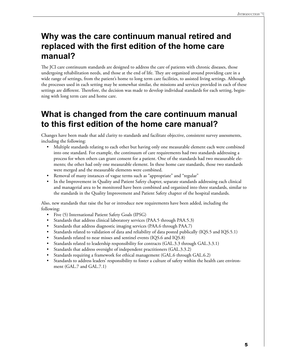## **Why was the care continuum manual retired and replaced with the first edition of the home care manual?**

The JCI care continuum standards are designed to address the care of patients with chronic diseases, those undergoing rehabilitation needs, and those at the end of life. They are organized around providing care in a wide range of settings, from the patient's home to long term care facilities, to assisted living settings. Although the processes used in each setting may be somewhat similar, the missions and services provided in each of these settings are different. Therefore, the decision was made to develop individual standards for each setting, beginning with long term care and home care.

#### **What is changed from the care continuum manual to this first edition of the home care manual?**

Changes have been made that add clarity to standards and facilitate objective, consistent survey assessments, including the following:

- Multiple standards relating to each other but having only one measurable element each were combined into one standard. For example, the continuum of care requirements had two standards addressing a process for when others can grant consent for a patient. One of the standards had two measurable elements; the other had only one measurable element. In these home care standards, those two standards were merged and the measurable elements were combined.
- Removal of many instances of vague terms such as "appropriate" and "regular"
- In the Improvement in Quality and Patient Safety chapter, separate standards addressing each clinical and managerial area to be monitored have been combined and organized into three standards, similar to the standards in the Quality Improvement and Patient Safety chapter of the hospital standards.

Also, new standards that raise the bar or introduce new requirements have been added, including the following:

- Five (5) International Patient Safety Goals (IPSG)
- Standards that address clinical laboratory services (PAA.5 through PAA.5.3)
- Standards that address diagnostic imaging services (PAA.6 through PAA.7)
- Standards related to validation of data and reliability of data posted publically (IQS.5 and IQS.5.1)
- Standards related to near misses and sentinel events (IQS.6 and IQS.8)
- Standards related to leadership responsibility for contracts (GAL.3.3 through GAL.3.3.1)
- Standards that address oversight of independent practitioners (GAL.3.3.2)
- Standards requiring a framework for ethical management (GAL.6 through GAL.6.2)
- Standards to address leaders' responsibility to foster a culture of safety within the health care environment (GAL.7 and GAL.7.1)